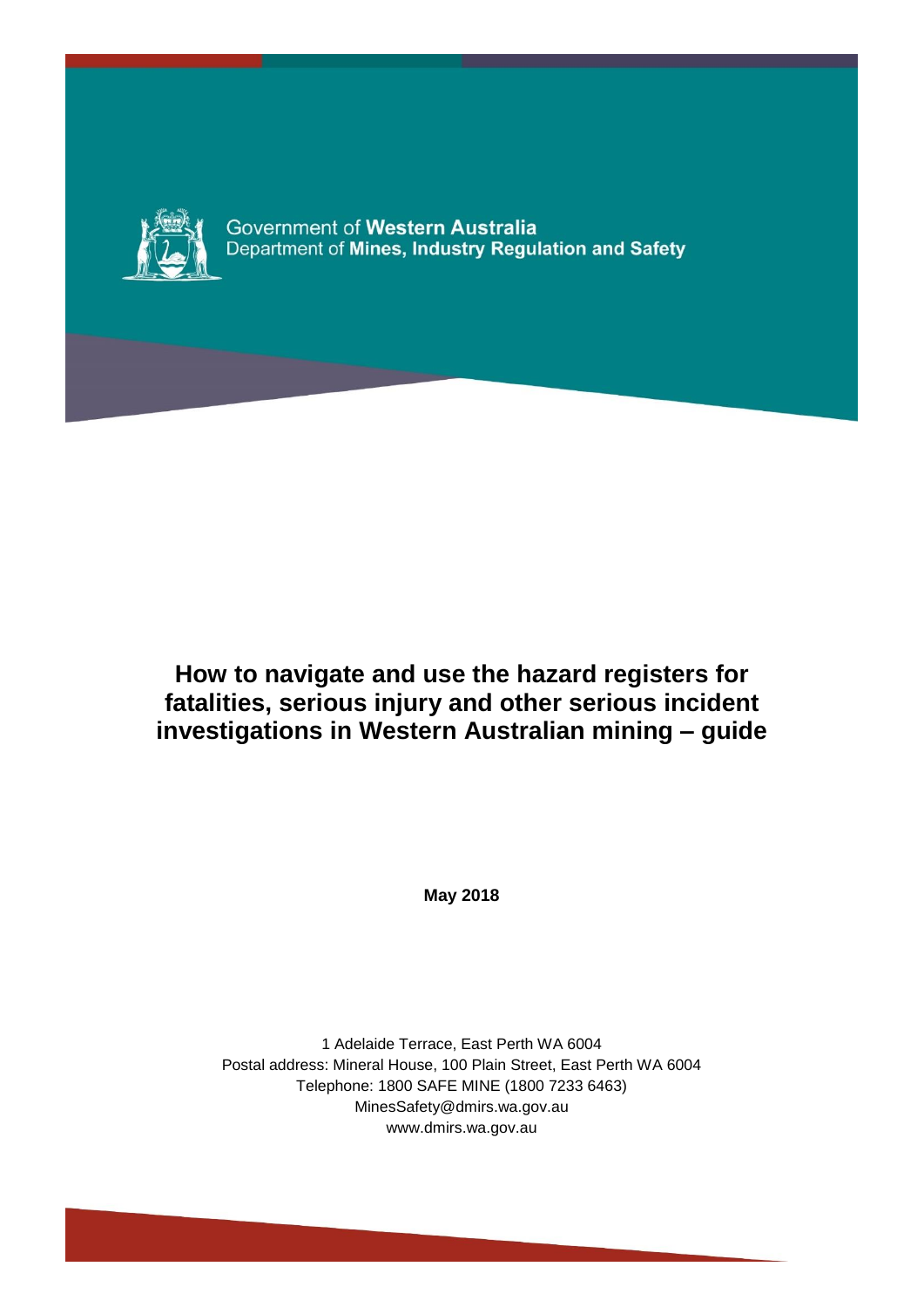

Government of Western Australia Department of Mines, Industry Regulation and Safety

**How to navigate and use the hazard registers for fatalities, serious injury and other serious incident investigations in Western Australian mining – guide**

**May 2018**

1 Adelaide Terrace, East Perth WA 6004 Postal address: Mineral House, 100 Plain Street, East Perth WA 6004 Telephone: 1800 SAFE MINE (1800 7233 6463) MinesSafety@dmirs.wa.gov.au www.dmirs.wa.gov.au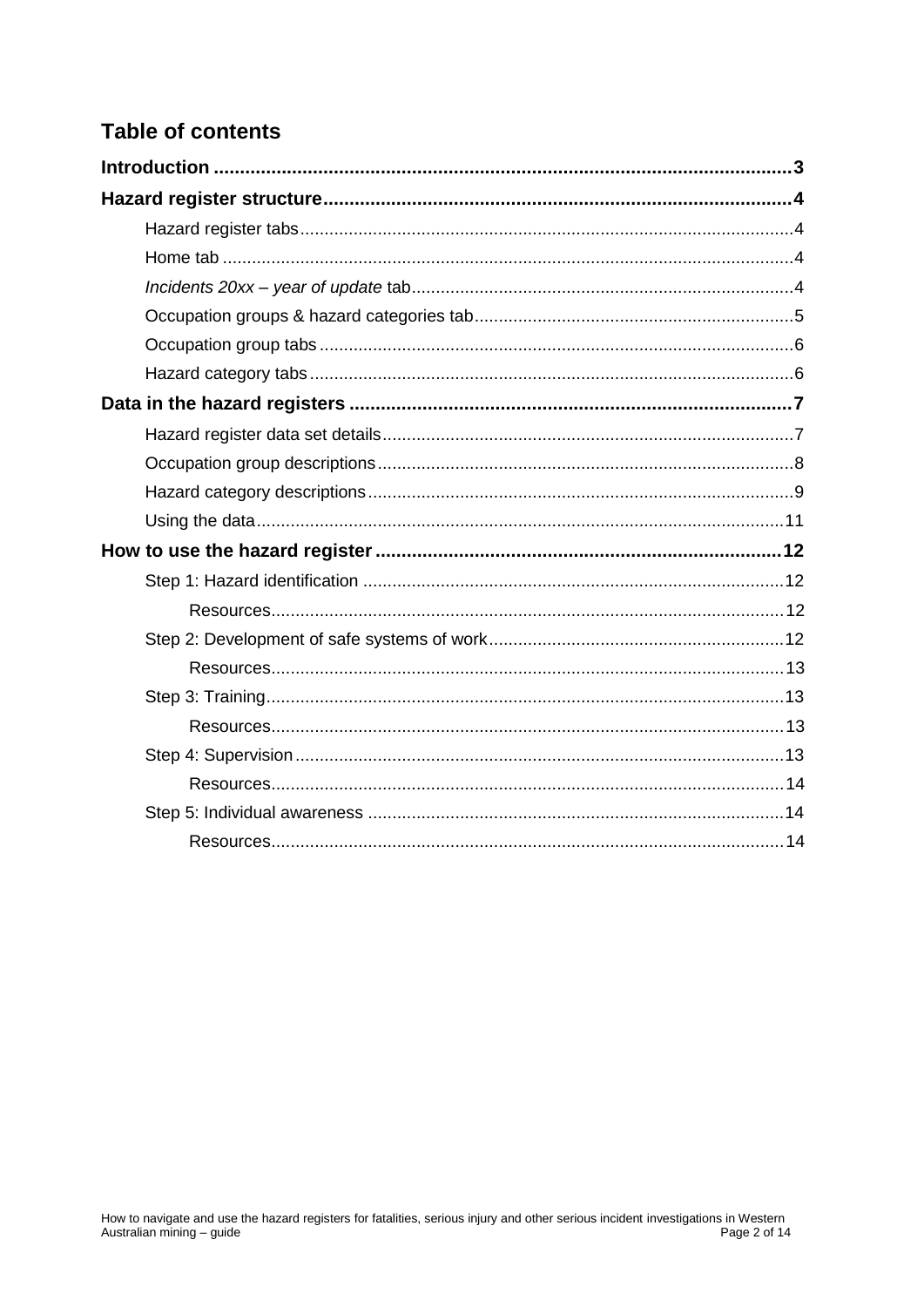# **Table of contents**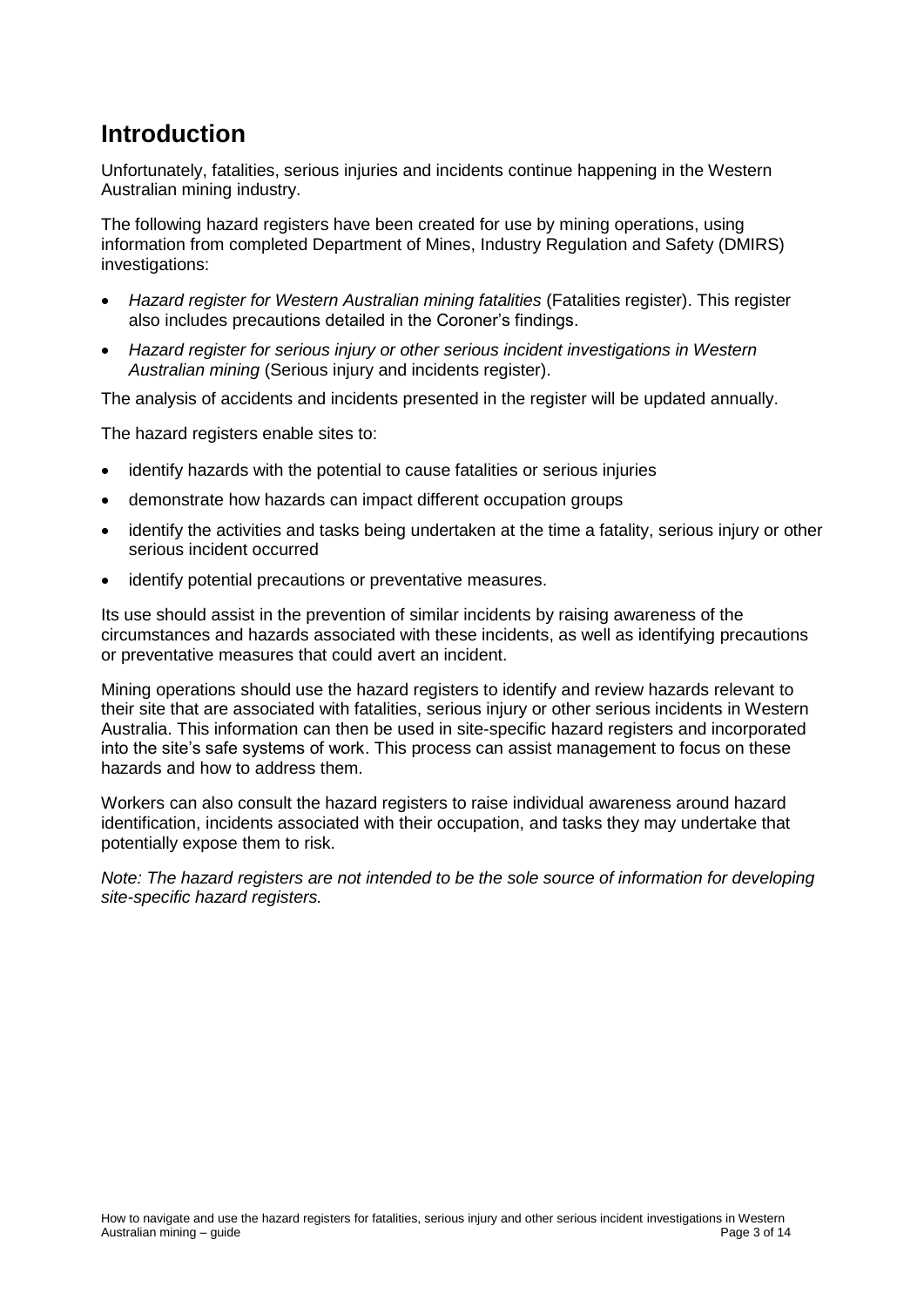# <span id="page-2-0"></span>**Introduction**

Unfortunately, fatalities, serious injuries and incidents continue happening in the Western Australian mining industry.

The following hazard registers have been created for use by mining operations, using information from completed Department of Mines, Industry Regulation and Safety (DMIRS) investigations:

- *Hazard register for Western Australian mining fatalities* (Fatalities register). This register also includes precautions detailed in the Coroner's findings.
- *Hazard register for serious injury or other serious incident investigations in Western Australian mining* (Serious injury and incidents register).

The analysis of accidents and incidents presented in the register will be updated annually.

The hazard registers enable sites to:

- identify hazards with the potential to cause fatalities or serious injuries
- demonstrate how hazards can impact different occupation groups
- identify the activities and tasks being undertaken at the time a fatality, serious injury or other serious incident occurred
- identify potential precautions or preventative measures.

Its use should assist in the prevention of similar incidents by raising awareness of the circumstances and hazards associated with these incidents, as well as identifying precautions or preventative measures that could avert an incident.

Mining operations should use the hazard registers to identify and review hazards relevant to their site that are associated with fatalities, serious injury or other serious incidents in Western Australia. This information can then be used in site-specific hazard registers and incorporated into the site's safe systems of work. This process can assist management to focus on these hazards and how to address them.

Workers can also consult the hazard registers to raise individual awareness around hazard identification, incidents associated with their occupation, and tasks they may undertake that potentially expose them to risk.

*Note: The hazard registers are not intended to be the sole source of information for developing site-specific hazard registers.*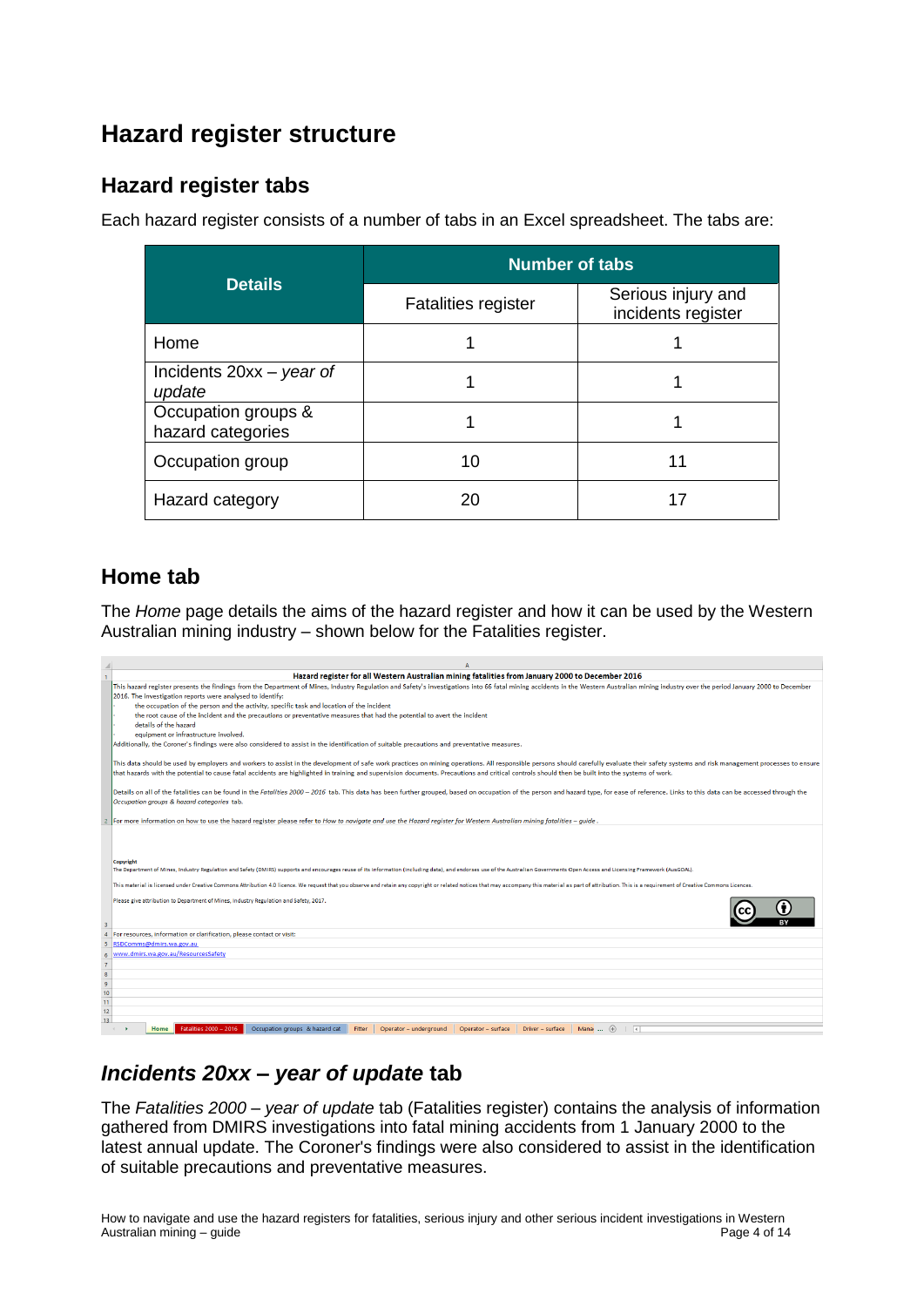# <span id="page-3-0"></span>**Hazard register structure**

### <span id="page-3-1"></span>**Hazard register tabs**

Each hazard register consists of a number of tabs in an Excel spreadsheet. The tabs are:

|                                          | <b>Number of tabs</b>      |                                          |  |  |  |
|------------------------------------------|----------------------------|------------------------------------------|--|--|--|
| <b>Details</b>                           | <b>Fatalities register</b> | Serious injury and<br>incidents register |  |  |  |
| Home                                     |                            |                                          |  |  |  |
| Incidents $20xx - year$ of<br>update     |                            |                                          |  |  |  |
| Occupation groups &<br>hazard categories |                            |                                          |  |  |  |
| Occupation group                         | 10                         | 11                                       |  |  |  |
| Hazard category                          | 20                         | 17                                       |  |  |  |

### <span id="page-3-2"></span>**Home tab**

The *Home* page details the aims of the hazard register and how it can be used by the Western Australian mining industry – shown below for the Fatalities register.

|                                                            | Hazard register for all Western Australian mining fatalities from January 2000 to December 2016                                                                                                                                             |
|------------------------------------------------------------|---------------------------------------------------------------------------------------------------------------------------------------------------------------------------------------------------------------------------------------------|
|                                                            | This hazard register presents the findings from the Department of Mines, Industry Regulation and Safety's investigations into 66 fatal mining accidents in the Western Australian mining industry over the period January 2000              |
|                                                            | 2016. The investigation reports were analysed to identify:                                                                                                                                                                                  |
|                                                            | the occupation of the person and the activity, specific task and location of the incident                                                                                                                                                   |
|                                                            | the root cause of the incident and the precautions or preventative measures that had the potential to avert the incident                                                                                                                    |
|                                                            | details of the hazard                                                                                                                                                                                                                       |
|                                                            | equipment or infrastructure involved.                                                                                                                                                                                                       |
|                                                            | Additionally, the Coroner's findings were also considered to assist in the identification of suitable precautions and preventative measures.                                                                                                |
|                                                            |                                                                                                                                                                                                                                             |
|                                                            | This data should be used by employers and workers to assist in the development of safe work practices on mining operations. All responsible persons should carefully evaluate their safety systems and risk management process              |
|                                                            | that hazards with the potential to cause fatal accidents are highlighted in training and supervision documents. Precautions and critical controls should then be built into the systems of work.                                            |
|                                                            |                                                                                                                                                                                                                                             |
|                                                            | Details on all of the fatalities can be found in the Fatalities 2000 - 2016 tab. This data has been further grouped, based on occupation of the person and hazard type, for ease of reference. Links to this data can be acces              |
|                                                            | Occupation groups & hazard categories tab.                                                                                                                                                                                                  |
|                                                            |                                                                                                                                                                                                                                             |
|                                                            | For more information on how to use the hazard register please refer to How to navigate and use the Hazard register for Western Australian mining fatalities - guide.                                                                        |
|                                                            |                                                                                                                                                                                                                                             |
|                                                            |                                                                                                                                                                                                                                             |
|                                                            |                                                                                                                                                                                                                                             |
|                                                            | Copyright<br>The Department of Mines, Industry Regulation and Safety (DMIRS) supports and encourages reuse of its information (including data), and endorses use of the Australian Governments Open Access and Licensing Framework (AusGOAL |
|                                                            |                                                                                                                                                                                                                                             |
|                                                            | This material is licensed under Creative Commons Attribution 4.0 licence. We request that you observe and retain any copyright or related notices that may accompany this material as part of attribution. This is a requireme              |
|                                                            |                                                                                                                                                                                                                                             |
|                                                            | Please give attribution to Department of Mines, Industry Regulation and Safety, 2017.                                                                                                                                                       |
|                                                            |                                                                                                                                                                                                                                             |
| 3                                                          |                                                                                                                                                                                                                                             |
| 4                                                          | For resources, information or clarification, please contact or visit:                                                                                                                                                                       |
| 5                                                          | RSDComms@dmirs.wa.gov.au                                                                                                                                                                                                                    |
|                                                            | www.dmirs.wa.gov.au/ResourcesSafety                                                                                                                                                                                                         |
|                                                            |                                                                                                                                                                                                                                             |
|                                                            |                                                                                                                                                                                                                                             |
| $\begin{array}{c}\n7 \\ 8 \\ 9 \\ \hline\n10\n\end{array}$ |                                                                                                                                                                                                                                             |
|                                                            |                                                                                                                                                                                                                                             |
| 11                                                         |                                                                                                                                                                                                                                             |
| 12<br>13                                                   |                                                                                                                                                                                                                                             |
|                                                            | Occupation groups & hazard cat<br>Mana $\cdots$ $\oplus$<br>Fatalities 2000 - 2016<br>Fitter<br>Operator - underground<br>Operator - surface<br>Driver - surface<br>ं च<br>Home                                                             |
|                                                            |                                                                                                                                                                                                                                             |

## <span id="page-3-3"></span>*Incidents 20xx – year of update* **tab**

The *Fatalities 2000 – year of update* tab (Fatalities register) contains the analysis of information gathered from DMIRS investigations into fatal mining accidents from 1 January 2000 to the latest annual update. The Coroner's findings were also considered to assist in the identification of suitable precautions and preventative measures.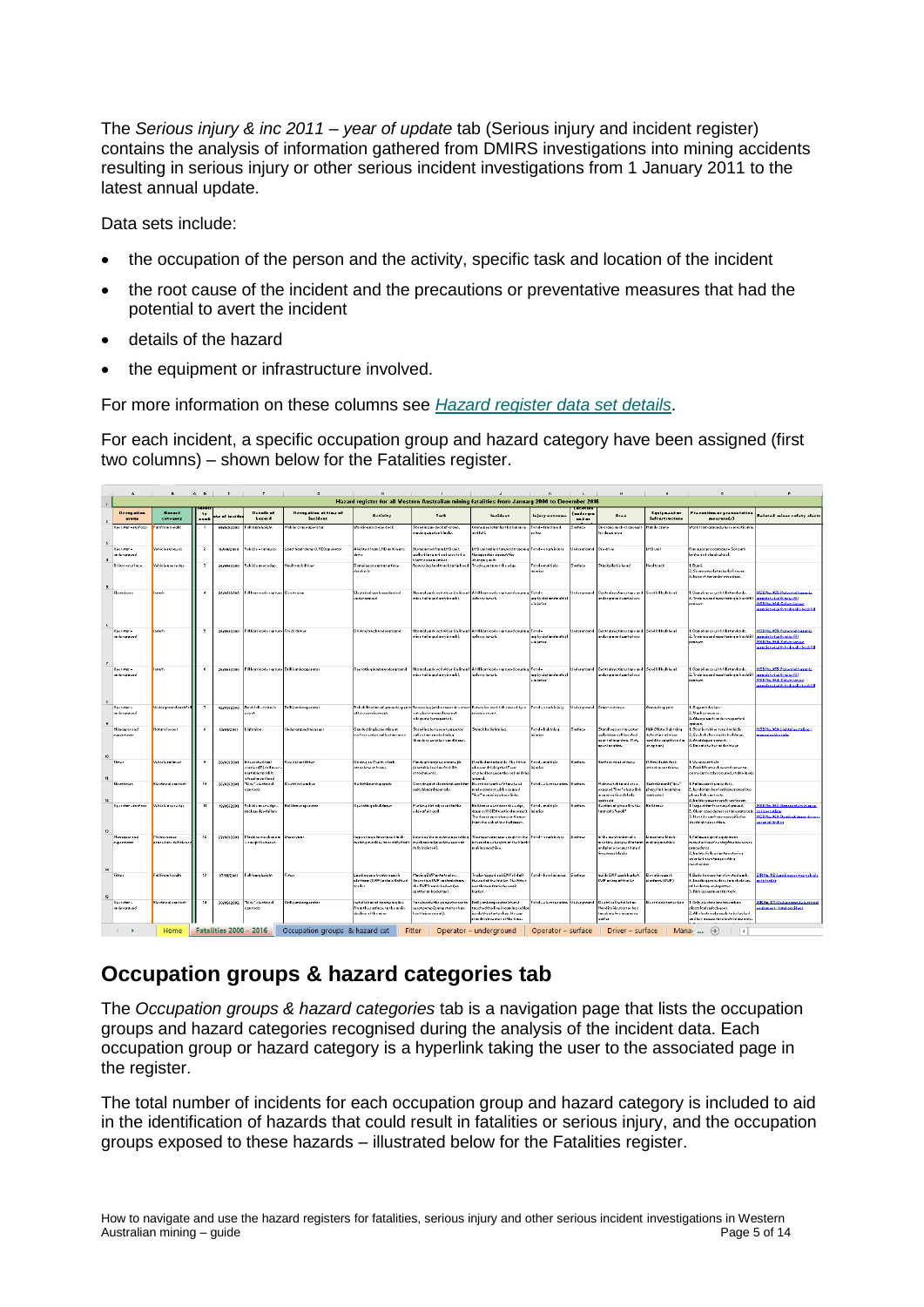The *Serious injury & inc 2011 – year of update* tab (Serious injury and incident register) contains the analysis of information gathered from DMIRS investigations into mining accidents resulting in serious injury or other serious incident investigations from 1 January 2011 to the latest annual update.

Data sets include:

- the occupation of the person and the activity, specific task and location of the incident
- the root cause of the incident and the precautions or preventative measures that had the potential to avert the incident
- details of the hazard
- the equipment or infrastructure involved.

For more information on these columns see *[Hazard register data set details](#page-6-1)*.

For each incident, a specific occupation group and hazard category have been assigned (first two columns) – shown below for the Fatalities register.

|                      | $\ddot{a}$                        | <b>B</b>                                                                                        | $C$ $D$                        | E          | F                                                                                 | $\mathsf{G}$                      | H                                                                                      | $\mathbf{L}$                                                                                                   | $\mathcal{J}$                                                                                                                        |                                   | $K$ $L$               | M                                                                                                                           | N                                                                                | $\circ$                                                                                                                                                            | P.                                                                                                                                    |
|----------------------|-----------------------------------|-------------------------------------------------------------------------------------------------|--------------------------------|------------|-----------------------------------------------------------------------------------|-----------------------------------|----------------------------------------------------------------------------------------|----------------------------------------------------------------------------------------------------------------|--------------------------------------------------------------------------------------------------------------------------------------|-----------------------------------|-----------------------|-----------------------------------------------------------------------------------------------------------------------------|----------------------------------------------------------------------------------|--------------------------------------------------------------------------------------------------------------------------------------------------------------------|---------------------------------------------------------------------------------------------------------------------------------------|
| $\mathbf{1}$         |                                   | Hazard register for all Vestern Australian mining fatalities from January 2000 to December 2016 |                                |            |                                                                                   |                                   |                                                                                        |                                                                                                                |                                                                                                                                      |                                   |                       |                                                                                                                             |                                                                                  |                                                                                                                                                                    |                                                                                                                                       |
| $\mathbf{z}$         | <b>Decemetion</b><br><b>STREE</b> | <b>Haraca</b><br>cotoquey                                                                       | $\mathbf{r}$<br>$\overline{a}$ | and incide | Details at<br>hoxerd                                                              | Occupation at time of<br>incident | distints:                                                                              | Tark                                                                                                           | <b>Instalant</b>                                                                                                                     | lainer antenn.                    | (underurs<br>and an   | Are a                                                                                                                       | <b>Equipment or</b><br>infrastructure                                            | Procession or proventative<br>$n = 4$                                                                                                                              | <b>Related miner rafety clerts</b>                                                                                                    |
| $\overline{a}$       | Operator-zurface                  | Fall fram holght                                                                                |                                | 05/04/2000 | <b>Fall from hojeht</b>                                                           | fabile crose aperator             | Warkingan crano dock                                                                   | Standingan deckaf crane,<br>maving weaden blackr.                                                              | Crane aperator last his balance<br>nd folk                                                                                           | Fatal-fractured<br>polvir         | Surface               | On crano dock at apon pit<br>lay down area                                                                                  | Mabile cross                                                                     | Narkfram graund uhero precticeble.                                                                                                                                 |                                                                                                                                       |
| $\blacktriangleleft$ | Operator-<br>underground          | Vehicle run away                                                                                | $\ddot{\epsilon}$              | 16/05/2000 | Vehicle-runaway                                                                   | Laad-haul-dump (LHD) aparatar     | Alighted from LHD unitin are<br>معادا                                                  | Dizmaunted from LHD unit<br>ualked forward and areeted a<br>blart-creumember                                   | HD unit ralled farward trapping Fatel - crurh injury.<br>the aperator equinet the<br>skarging unit.                                  |                                   | Undergraund Ore drive |                                                                                                                             | LHD unit                                                                         | unaway procentians - Sotoark<br>rako and chack uhool.                                                                                                              |                                                                                                                                       |
| s.                   | Driver-zurface                    | Vokêclo avor o tao                                                                              | $\rightarrow$                  | 26/05/2000 | Vohiclo protodge                                                                  | Haultruck driver                  | Dumping are antazurface<br>rtackpille                                                  | Reverzing haultruck to tip head                                                                                | Truck wont avor the odge.                                                                                                            | Fatel - maltiple<br>iniuriar      | Surface               | Stackpile tip head                                                                                                          | <b>Haultruck</b>                                                                 | 1. Bund.<br>2. Sogragata detuckpila fingare.<br>3. Inspect for undercuted ges.                                                                                     |                                                                                                                                       |
| $\epsilon$           | Electrician                       | Inrach                                                                                          | $\overline{4}$                 | 2670672000 | Fill barricade rupture Electrician                                                |                                   | Elactrical work conducted<br>undorgraund                                               | Marmal wark octivities (in line of<br>mine tailing zlurry inruzh).                                             | Afill barricodo rupturad couring Fatal-<br>arburry in ruth.                                                                          | arphysiotian/multip<br>o iniurios |                       | Jadorgraund Controlzoctianztapo end Sandfill bulkhood<br>undergraundwarkplace                                               |                                                                                  | Camplianco with fillstandards.<br>2. Training and manitaring in backfill<br>ermconn.                                                                               | MSB No. 055: Patential hazarda<br>azzaciate duithmine fill<br>MSB No. 064: Safety izzuzz<br>raziated cità kydraulickazktill           |
| $\mathbf{r}$         | Operator-<br>underground          | Inruch                                                                                          | 5                              | 26/06/2000 | Fill barricade rupture Truck driver                                               |                                   | Drivingtruck underground                                                               | Marmal wark octivitier (in line af<br>mine tailingezherry inrurh).                                             | Afill Lerricede ruptured couring Fatel-<br>azbarry inruth.                                                                           | arphyxiotian/multip<br>, injurior | <b>Jedensraund</b>    | Centralzectionztape and Sandfill bulkhead<br>undergraund uprichece                                                          |                                                                                  | . Camaliance with fillstandards.<br>2. Training and manituring in backfill arraciated with mine fill<br>racer.                                                     | MSB No. 055: Patential hazarda<br><b>MSBNo.664:Safetylerue</b><br>preciated with hydraulich ackfill                                   |
| $\ddot{\phantom{a}}$ | Onarator -<br>underground         | Incorn                                                                                          | $\epsilon$                     | 26/06/2000 | Fill barricade rupture Drill jumba aperator                                       |                                   | Operation jumbs underground                                                            | nino tailingezherey ineurk).                                                                                   | Narmal werk octivitier (in line of Afill berricode restured couring Fatel -<br>szlurrzioruzh.                                        | arphyxiotian/multip<br>o injurior |                       | Jodargraund Cantrolzactionztope and Sandfill bulkhand<br>undorgraund warkplace                                              |                                                                                  | . Constituto un Giberardo de<br>2. Training and manituring in backfill<br>pracour                                                                                  | MSB No. 055: Patential hazardz<br>arraciatud cittànica fill<br><b>MSB No. 064: Safety izzuz</b><br>screciated with hydraulich ackfill |
|                      | Operator-<br>underground          | <b>Underground rackfull</b>                                                                     | $\overline{\phantom{a}}$       | 02/09/2000 | Reckfell-zeizmic<br>ovent                                                         | Drill jumbs sporator              | afterzeirmicevent                                                                      | Rokabilitation of groundzuppart Rovorzingjumbatowardra crozz<br>cut uhoro gravni warnat<br>edooustolvzuogetod. | Extensive rack fall coured by a Fatal - crush injury<br>reirmicevent                                                                 |                                   |                       | Undergraund Crazz-cut area                                                                                                  | Graundzuseart                                                                    | Support design.<br>2. Mark requence<br>3. Alweyz werk underzupperted<br>praund.                                                                                    |                                                                                                                                       |
| 10                   | Managerz and<br>ruperviross       | Natural event                                                                                   | $\pm$                          | 14/01/2001 | Lightning                                                                         | Underground manager               | Canductina inconction at<br>urface water collection area                               | Štandina botuson tumu etor<br>callection eards during<br>thundery weather canditions                           | Struckby lightning                                                                                                                   | Fatel - lightning<br>iniuriar     | Surface               | Standing next to water<br>callo ctian coll la cato d<br>near tailingr dam. Flat.<br>pron location.                          | Nen (Nate:lightnin-<br>date ction odvices<br>cauld bo canziderod a<br>en aptian) | Starin rubbertyred vehicle.<br>Sookskokorinside buildings.<br>Availance ground.<br>4. Da natzholter under treoz                                                    | MSB No. 060: Lightning striker -<br>manualnuthe ricks                                                                                 |
| 11                   | Fitter                            | Vehicle rallaver                                                                                | ۰                              | 20/03/2001 | Integrated test<br>corrier (IT) rell aver<br>unrtable farklift<br>attachmant land | <b>Fixedplantfitter</b>           | Driving an IT with a fark<br>attachmant frama                                          | Maving/carrying a crane jib<br>Cunatable land an Fark lift<br>attachmant).                                     | Tralled antaiteside. The fitter<br>sha war driving the IT war<br>rurhed between the cab and th<br>raund.                             | Fatel - maltiele<br>iniurias      | Surface               | Surface rand stining                                                                                                        | IT fitted with fark<br>attachment frame                                          | Mographicals.<br>Farklift ettachment framer ta<br>arry carroctly recured, redde landr                                                                              |                                                                                                                                       |
| $\mathbf{r}$         | Electrician                       | Electrical cantact                                                                              | 10                             | 26/03/2001 | Live electrical<br>contacts                                                       | Electrical unrhan                 | Suitchbaarduparado                                                                     | Carrina autolectrical wark far<br>ruitchbaard upgrade.                                                         | Electrical unrker's forehood<br>medo cantect with oxparod<br>live incoming pharelinks.                                               | Fatel-electrocution Surface       |                       | Meinzuitchbaarderen.<br>espared "live" phare link<br>incamina fixed blode<br>contactr                                       | Suitchboord ("Fire<br>phare linkin caming<br>cantectr)                           | Fallow work procedure.<br>Inrulation barrier/cover over live<br>dura link contacts.<br>. Iralato pauorzuppły upztroam.                                             |                                                                                                                                       |
| $\Omega$             | Operator-zurface                  | Vohicle weer of ge-                                                                             | 11                             | 10/05/2001 | Vahicle sveradge -<br>rack wedge failure                                          | <b>Bulldaxoraporatas</b>          | Operating a buildager                                                                  | Purking dirt adjacent to the<br>o dqo af pit wall.                                                             | Dulldazer went aver the edge,<br>laun arill (120 vertical metrer).<br>The dezer poerator war thrown<br>ram the cab of the buildaxer. | Fatal - moltiple<br>injuries      | Surface               | Section of pit well in the<br>farm af a "knab"                                                                              | <b>Bulldager</b>                                                                 | . Incores for fractured ground.<br>2. Clear case demancation protoco<br>3. Identify work are arpositionfor<br>dayrnight aporation.                                 | MSB No. 063: Dexera dety in each<br>cutasoration<br><b>MSB No. 068: Death of dezer driver</b><br>arasial fisdina                      |
| 14                   | Manager and<br>zupervizuez        | Maintonanco<br>orneadura deficiency                                                             | $\mathbf{R}$                   | 27/08/2001 | Mochine mochanizm<br>caughtbotwoon                                                | Supervira                         | nepo ctiną a limostano bla cle-<br>mekingmachine ta rectify feult                      | Entering the machine aperating<br>mechanizm (mechine warnat<br>fully iralated).                                | The repervirer war cought in the Fatal - crurk injury<br>isternal mechanism of the black-<br>naking machine.                         |                                   | Surface               | In the mechanism of a<br>mechine derivated to form I making mechine<br>and place reconstituted<br>limaztena bleckr          | Limertane black-                                                                 | 1. Fallow ariginal a quipment<br>manufacturer's entry imaintenance<br>pracoduror.<br>2. Iralato fully prior to entering<br>quarded area to sperating<br>machanizm. |                                                                                                                                       |
| 15                   | Fitter                            | Fall from hotalit                                                                               | $\Omega$                       | 07/11/2001 | Foll from height                                                                  | Fitter                            | Leeding an elevating work<br>plotfarm (EWP) anta ofist bad<br>trailer                  | Maving EMP anta trailer.<br>Operating EWP cantrals from<br>the EWP's work barket (no<br>rpatter ar backrtap).  | railertipped and EWP rlid off<br>ha and of the trailer. The fitter<br>aar thrawn from the work<br>and an                             | Fatel-headingsrier Surface        |                       | Inride EWP work barket.<br>EVIP antap of trailer                                                                            | Elevetinguark<br>platform (EWP)                                                  | 1. Badsharnezz far elevated wark.<br>. La oding praco duro ta includo uro<br>of backetap andepatter.<br>3. Rick azozmont for tark.                                 | SIR Na. 112: Las dinazoroico vehicle<br>ta trailer                                                                                    |
|                      | Operator-<br>underground          | Electrical cantact                                                                              | 14                             | 30/05/2002 | Live electrical<br>contactr                                                       | Drilljumbaaperator                | Installation of a pumping line<br>from the zurface, to the main<br>destine at the mine | Taxelacate the numer tarter to<br>razatpump (pumpztartarbax<br>kest trissing aut).                             | Jrill jumba aporotar's hand<br>teuched the live incoming coble<br>szide the ztarter bas. He war<br>tending in water at the time.     |                                   |                       | Fatel - electrocution Undergraund Electrical installation.<br>Handingide gravitations<br>terribing live in coming<br>cobler | Electricalstarterbar                                                             | 1. Only also tricians to work on<br>da etnical maitek awar<br>. All alastrical pasak to be locked<br>md key access for electricians only                           | SIRMa. 117: Undergraundelectrical<br>uioment-fotal accident                                                                           |
|                      | $\blacktriangleright$             | Home                                                                                            |                                |            | <b>Fatalities 2000 - 2016</b>                                                     | Occupation groups & hazard cat    |                                                                                        | Fitter                                                                                                         | Operator - underground                                                                                                               |                                   |                       | Operator - surface Driver - surface                                                                                         |                                                                                  | Mana $\cdots$ $\oplus$<br>$\blacktriangleleft$                                                                                                                     |                                                                                                                                       |

## <span id="page-4-0"></span>**Occupation groups & hazard categories tab**

The *Occupation groups & hazard categories* tab is a navigation page that lists the occupation groups and hazard categories recognised during the analysis of the incident data. Each occupation group or hazard category is a hyperlink taking the user to the associated page in the register.

The total number of incidents for each occupation group and hazard category is included to aid in the identification of hazards that could result in fatalities or serious injury, and the occupation groups exposed to these hazards – illustrated below for the Fatalities register.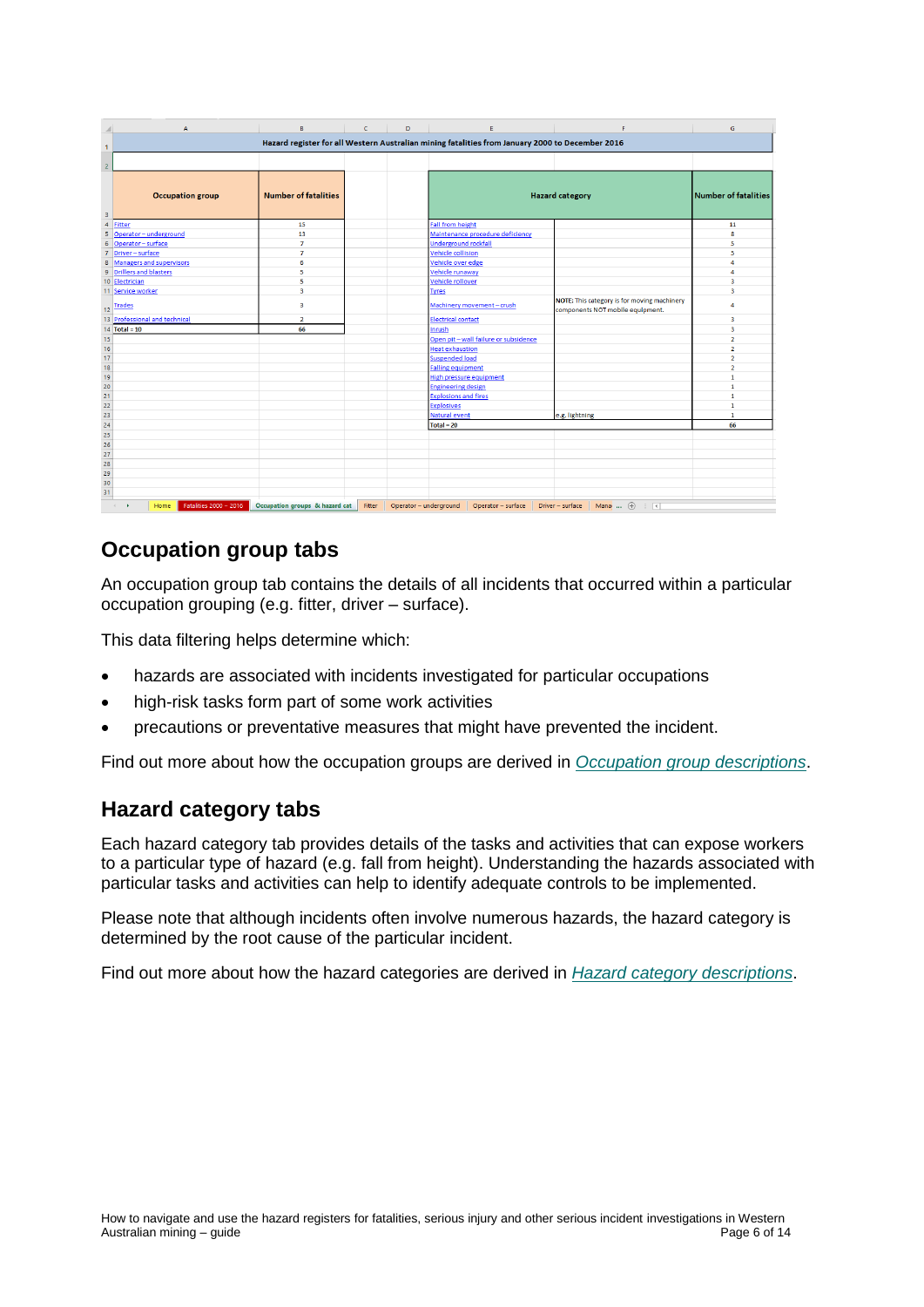|                 | A                                                    | В                              | c      | D                      | Ε                                                                                               | p                                                                               | G                           |
|-----------------|------------------------------------------------------|--------------------------------|--------|------------------------|-------------------------------------------------------------------------------------------------|---------------------------------------------------------------------------------|-----------------------------|
| $\mathbf{1}$    |                                                      |                                |        |                        | Hazard register for all Western Australian mining fatalities from January 2000 to December 2016 |                                                                                 |                             |
|                 |                                                      |                                |        |                        |                                                                                                 |                                                                                 |                             |
| $\overline{2}$  |                                                      |                                |        |                        |                                                                                                 |                                                                                 |                             |
| 3               | <b>Occupation group</b>                              | <b>Number of fatalities</b>    |        |                        |                                                                                                 | <b>Hazard category</b>                                                          | <b>Number of fatalities</b> |
|                 | 4 Fitter                                             | 15                             |        |                        | <b>Fall from height</b>                                                                         |                                                                                 | 11                          |
|                 | 5 Operator - underground                             | 13                             |        |                        | Maintenance procedure deficiency                                                                |                                                                                 | 8                           |
|                 | 6 Operator - surface                                 | $\overline{7}$                 |        |                        | <b>Underground rockfall</b>                                                                     |                                                                                 | 5                           |
|                 | 7 Driver-surface                                     | $\overline{7}$                 |        |                        | <b>Vehicle collision</b>                                                                        |                                                                                 | 5                           |
|                 | 8 Managers and supervisors                           | 6                              |        |                        | Vehicle over edge                                                                               |                                                                                 | 4                           |
|                 | 9 Drillers and blasters                              | 5                              |        |                        | Vehicle runaway                                                                                 |                                                                                 | 4                           |
|                 | 10 Electrician                                       | 5                              |        |                        | Vehicle rollover                                                                                |                                                                                 | 3                           |
|                 | 11 Service worker                                    | 3                              |        |                        | <b>Tyres</b>                                                                                    |                                                                                 | 3                           |
|                 | 12 Trades                                            | 3                              |        |                        | Machinery movement - crush                                                                      | NOTE: This category is for moving machinery<br>components NOT mobile equipment. | 4                           |
|                 | 13 Professional and technical                        | $\overline{2}$                 |        |                        | <b>Electrical contact</b>                                                                       |                                                                                 | 3                           |
|                 | 14 Total = $10$                                      | 66                             |        |                        | Inrush                                                                                          |                                                                                 | 3                           |
| 15              |                                                      |                                |        |                        | Open pit - wall failure or subsidence                                                           |                                                                                 | $\overline{2}$              |
|                 |                                                      |                                |        |                        | <b>Heat exhaustion</b>                                                                          |                                                                                 | $\overline{2}$              |
| $\frac{16}{17}$ |                                                      |                                |        |                        | <b>Suspended load</b>                                                                           |                                                                                 | $\overline{2}$              |
| 18              |                                                      |                                |        |                        | <b>Falling equipment</b>                                                                        |                                                                                 | $\overline{2}$              |
| 19              |                                                      |                                |        |                        | <b>High pressure equipment</b>                                                                  |                                                                                 | $\mathbf{1}$                |
| 20              |                                                      |                                |        |                        | <b>Engineering design</b>                                                                       |                                                                                 | $\mathbf{1}$                |
| 21              |                                                      |                                |        |                        | <b>Explosions and fires</b>                                                                     |                                                                                 | $\mathbf{1}$                |
| $\overline{22}$ |                                                      |                                |        |                        | <b>Explosives</b>                                                                               |                                                                                 | $\mathbf{1}$                |
| 23              |                                                      |                                |        |                        | <b>Natural event</b>                                                                            | e.g. lightning                                                                  | $\mathbf{1}$                |
| 24              |                                                      |                                |        |                        | Total = $20$                                                                                    |                                                                                 | 66                          |
| 25              |                                                      |                                |        |                        |                                                                                                 |                                                                                 |                             |
| $26\,$          |                                                      |                                |        |                        |                                                                                                 |                                                                                 |                             |
| 27              |                                                      |                                |        |                        |                                                                                                 |                                                                                 |                             |
| 28              |                                                      |                                |        |                        |                                                                                                 |                                                                                 |                             |
| 29              |                                                      |                                |        |                        |                                                                                                 |                                                                                 |                             |
| $\frac{30}{31}$ |                                                      |                                |        |                        |                                                                                                 |                                                                                 |                             |
|                 |                                                      |                                |        |                        |                                                                                                 |                                                                                 |                             |
|                 | Fatalities 2000 - 2016<br>Home<br>$\mathcal{A}$<br>× | Occupation groups & hazard cat | Fitter | Operator - underground | Operator - surface                                                                              | Driver - surface<br>Mana $\cdots$ $\oplus$<br>ं च                               |                             |

# <span id="page-5-0"></span>**Occupation group tabs**

An occupation group tab contains the details of all incidents that occurred within a particular occupation grouping (e.g. fitter, driver – surface).

This data filtering helps determine which:

- hazards are associated with incidents investigated for particular occupations
- high-risk tasks form part of some work activities
- precautions or preventative measures that might have prevented the incident.

Find out more about how the occupation groups are derived in *[Occupation group descriptions](#page-7-0)*.

### <span id="page-5-1"></span>**Hazard category tabs**

Each hazard category tab provides details of the tasks and activities that can expose workers to a particular type of hazard (e.g. fall from height). Understanding the hazards associated with particular tasks and activities can help to identify adequate controls to be implemented.

Please note that although incidents often involve numerous hazards, the hazard category is determined by the root cause of the particular incident.

Find out more about how the hazard categories are derived in *[Hazard category descriptions](#page-8-0)*.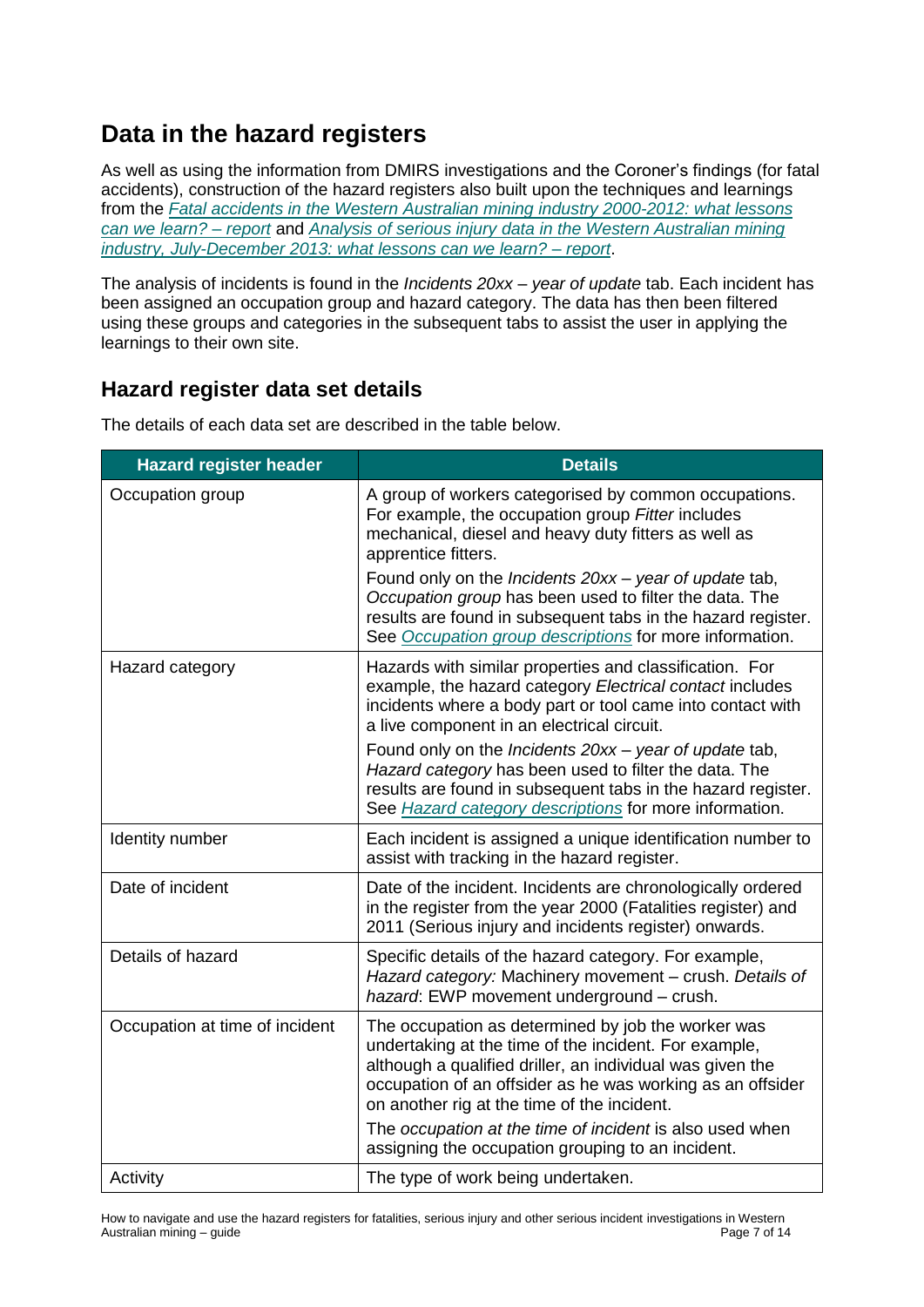# <span id="page-6-0"></span>**Data in the hazard registers**

As well as using the information from DMIRS investigations and the Coroner's findings (for fatal accidents), construction of the hazard registers also built upon the techniques and learnings from the *[Fatal accidents in the Western Australian mining industry 2000-2012: what lessons](http://www.dmp.wa.gov.au/Documents/Safety/MSH_R_FatalAccidents200012.pdf)  [can we learn? –](http://www.dmp.wa.gov.au/Documents/Safety/MSH_R_FatalAccidents200012.pdf) report* and *[Analysis of serious injury data in the Western Australian mining](http://www.dmp.wa.gov.au/Documents/Dangerous-Goods/RP_SeriousInjuryReportMINING2015.pdf)  [industry, July-December 2013: what lessons can we learn? –](http://www.dmp.wa.gov.au/Documents/Dangerous-Goods/RP_SeriousInjuryReportMINING2015.pdf) report*.

The analysis of incidents is found in the *Incidents 20xx – year of update* tab. Each incident has been assigned an occupation group and hazard category. The data has then been filtered using these groups and categories in the subsequent tabs to assist the user in applying the learnings to their own site.

# <span id="page-6-1"></span>**Hazard register data set details**

**Hazard register header Details** Occupation group **A** group of workers categorised by common occupations.

The details of each data set are described in the table below.

| Occupation group               | A group of workers categorised by common occupations.<br>For example, the occupation group Fitter includes<br>mechanical, diesel and heavy duty fitters as well as<br>apprentice fitters.                                                                                             |
|--------------------------------|---------------------------------------------------------------------------------------------------------------------------------------------------------------------------------------------------------------------------------------------------------------------------------------|
|                                | Found only on the Incidents 20xx - year of update tab,<br>Occupation group has been used to filter the data. The<br>results are found in subsequent tabs in the hazard register.<br>See Occupation group descriptions for more information.                                           |
| Hazard category                | Hazards with similar properties and classification. For<br>example, the hazard category Electrical contact includes<br>incidents where a body part or tool came into contact with<br>a live component in an electrical circuit.                                                       |
|                                | Found only on the Incidents 20xx - year of update tab,<br>Hazard category has been used to filter the data. The<br>results are found in subsequent tabs in the hazard register.<br>See Hazard category descriptions for more information.                                             |
| Identity number                | Each incident is assigned a unique identification number to<br>assist with tracking in the hazard register.                                                                                                                                                                           |
| Date of incident               | Date of the incident. Incidents are chronologically ordered<br>in the register from the year 2000 (Fatalities register) and<br>2011 (Serious injury and incidents register) onwards.                                                                                                  |
| Details of hazard              | Specific details of the hazard category. For example,<br>Hazard category: Machinery movement - crush. Details of<br>hazard: EWP movement underground - crush.                                                                                                                         |
| Occupation at time of incident | The occupation as determined by job the worker was<br>undertaking at the time of the incident. For example,<br>although a qualified driller, an individual was given the<br>occupation of an offsider as he was working as an offsider<br>on another rig at the time of the incident. |
|                                | The occupation at the time of incident is also used when<br>assigning the occupation grouping to an incident.                                                                                                                                                                         |
| Activity                       | The type of work being undertaken.                                                                                                                                                                                                                                                    |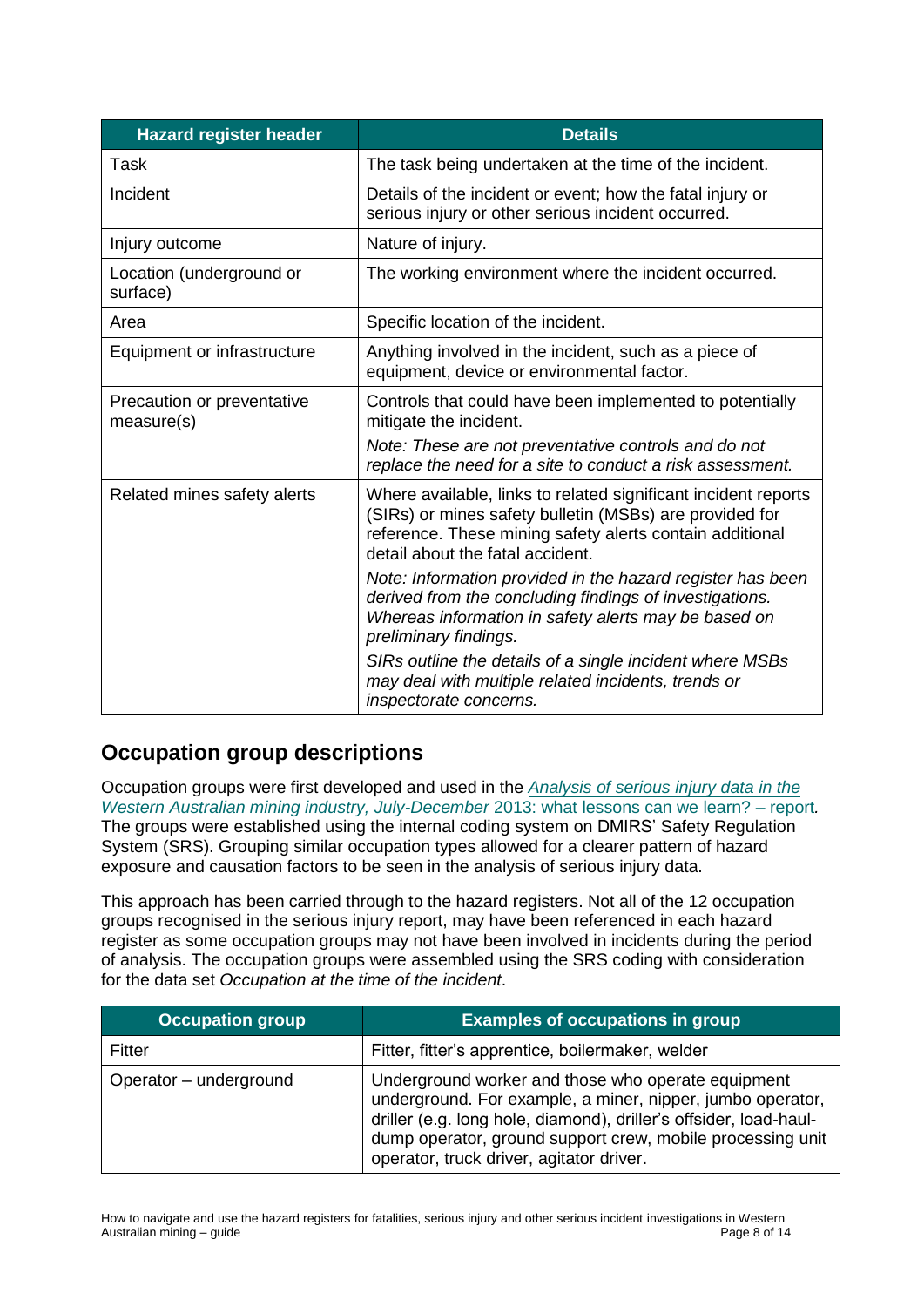| <b>Hazard register header</b>            | <b>Details</b>                                                                                                                                                                                                            |
|------------------------------------------|---------------------------------------------------------------------------------------------------------------------------------------------------------------------------------------------------------------------------|
| Task                                     | The task being undertaken at the time of the incident.                                                                                                                                                                    |
| Incident                                 | Details of the incident or event; how the fatal injury or<br>serious injury or other serious incident occurred.                                                                                                           |
| Injury outcome                           | Nature of injury.                                                                                                                                                                                                         |
| Location (underground or<br>surface)     | The working environment where the incident occurred.                                                                                                                                                                      |
| Area                                     | Specific location of the incident.                                                                                                                                                                                        |
| Equipment or infrastructure              | Anything involved in the incident, such as a piece of<br>equipment, device or environmental factor.                                                                                                                       |
| Precaution or preventative<br>measure(s) | Controls that could have been implemented to potentially<br>mitigate the incident.                                                                                                                                        |
|                                          | Note: These are not preventative controls and do not<br>replace the need for a site to conduct a risk assessment.                                                                                                         |
| Related mines safety alerts              | Where available, links to related significant incident reports<br>(SIRs) or mines safety bulletin (MSBs) are provided for<br>reference. These mining safety alerts contain additional<br>detail about the fatal accident. |
|                                          | Note: Information provided in the hazard register has been<br>derived from the concluding findings of investigations.<br>Whereas information in safety alerts may be based on<br>preliminary findings.                    |
|                                          | SIRs outline the details of a single incident where MSBs<br>may deal with multiple related incidents, trends or<br>inspectorate concerns.                                                                                 |

## <span id="page-7-0"></span>**Occupation group descriptions**

Occupation groups were first developed and used in the *[Analysis of serious injury data in the](http://www.dmp.wa.gov.au/Documents/Dangerous-Goods/RP_SeriousInjuryReportMINING2015.pdf)  [Western Australian mining industry, July-December](http://www.dmp.wa.gov.au/Documents/Dangerous-Goods/RP_SeriousInjuryReportMINING2015.pdf)* 2013: what lessons can we learn? – report*.*  The groups were established using the internal coding system on DMIRS' Safety Regulation System (SRS). Grouping similar occupation types allowed for a clearer pattern of hazard exposure and causation factors to be seen in the analysis of serious injury data.

This approach has been carried through to the hazard registers. Not all of the 12 occupation groups recognised in the serious injury report, may have been referenced in each hazard register as some occupation groups may not have been involved in incidents during the period of analysis. The occupation groups were assembled using the SRS coding with consideration for the data set *Occupation at the time of the incident*.

| <b>Occupation group</b> | <b>Examples of occupations in group</b>                                                                                                                                                                                                                                                         |
|-------------------------|-------------------------------------------------------------------------------------------------------------------------------------------------------------------------------------------------------------------------------------------------------------------------------------------------|
| Fitter                  | Fitter, fitter's apprentice, boilermaker, welder                                                                                                                                                                                                                                                |
| Operator - underground  | Underground worker and those who operate equipment<br>underground. For example, a miner, nipper, jumbo operator,<br>driller (e.g. long hole, diamond), driller's offsider, load-haul-<br>dump operator, ground support crew, mobile processing unit<br>operator, truck driver, agitator driver. |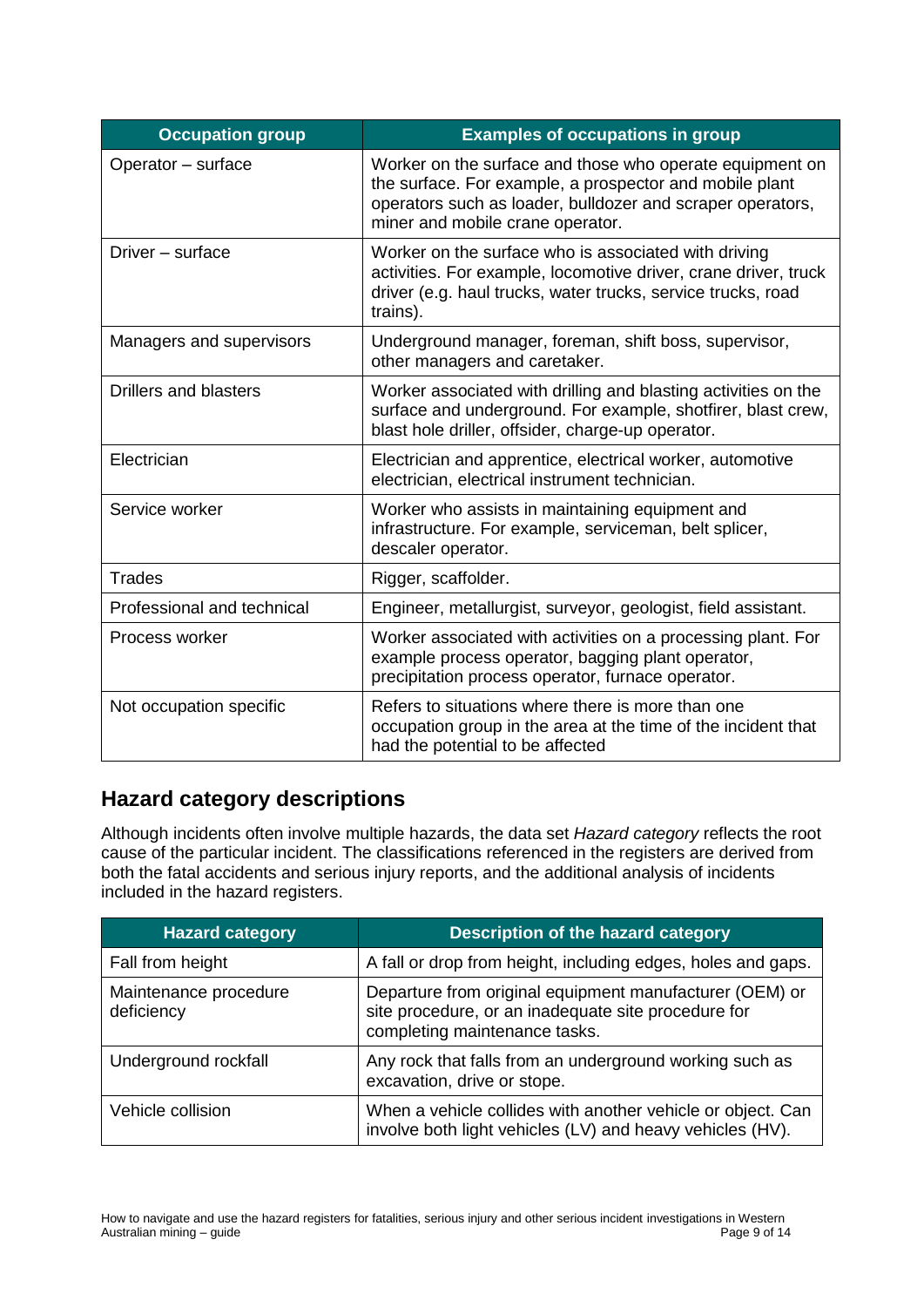| <b>Occupation group</b>      | <b>Examples of occupations in group</b>                                                                                                                                                                               |
|------------------------------|-----------------------------------------------------------------------------------------------------------------------------------------------------------------------------------------------------------------------|
| Operator - surface           | Worker on the surface and those who operate equipment on<br>the surface. For example, a prospector and mobile plant<br>operators such as loader, bulldozer and scraper operators,<br>miner and mobile crane operator. |
| Driver - surface             | Worker on the surface who is associated with driving<br>activities. For example, locomotive driver, crane driver, truck<br>driver (e.g. haul trucks, water trucks, service trucks, road<br>trains).                   |
| Managers and supervisors     | Underground manager, foreman, shift boss, supervisor,<br>other managers and caretaker.                                                                                                                                |
| <b>Drillers and blasters</b> | Worker associated with drilling and blasting activities on the<br>surface and underground. For example, shotfirer, blast crew,<br>blast hole driller, offsider, charge-up operator.                                   |
| Electrician                  | Electrician and apprentice, electrical worker, automotive<br>electrician, electrical instrument technician.                                                                                                           |
| Service worker               | Worker who assists in maintaining equipment and<br>infrastructure. For example, serviceman, belt splicer,<br>descaler operator.                                                                                       |
| <b>Trades</b>                | Rigger, scaffolder.                                                                                                                                                                                                   |
| Professional and technical   | Engineer, metallurgist, surveyor, geologist, field assistant.                                                                                                                                                         |
| Process worker               | Worker associated with activities on a processing plant. For<br>example process operator, bagging plant operator,<br>precipitation process operator, furnace operator.                                                |
| Not occupation specific      | Refers to situations where there is more than one<br>occupation group in the area at the time of the incident that<br>had the potential to be affected                                                                |

# <span id="page-8-0"></span>**Hazard category descriptions**

Although incidents often involve multiple hazards, the data set *Hazard category* reflects the root cause of the particular incident. The classifications referenced in the registers are derived from both the fatal accidents and serious injury reports, and the additional analysis of incidents included in the hazard registers.

| <b>Hazard category</b>              | Description of the hazard category                                                                                                              |
|-------------------------------------|-------------------------------------------------------------------------------------------------------------------------------------------------|
| Fall from height                    | A fall or drop from height, including edges, holes and gaps.                                                                                    |
| Maintenance procedure<br>deficiency | Departure from original equipment manufacturer (OEM) or<br>site procedure, or an inadequate site procedure for<br>completing maintenance tasks. |
| Underground rockfall                | Any rock that falls from an underground working such as<br>excavation, drive or stope.                                                          |
| Vehicle collision                   | When a vehicle collides with another vehicle or object. Can<br>involve both light vehicles (LV) and heavy vehicles (HV).                        |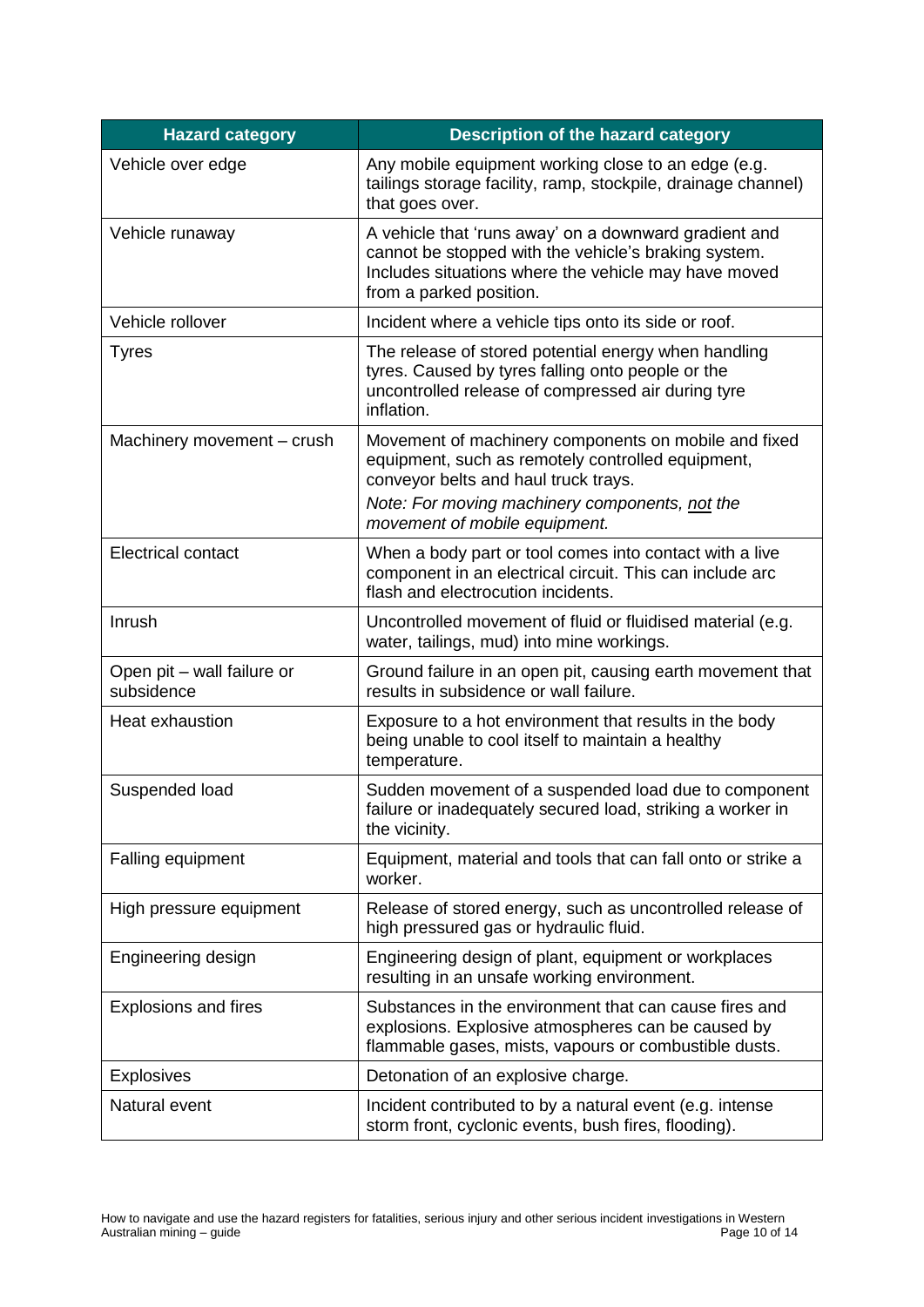| <b>Hazard category</b>                   | <b>Description of the hazard category</b>                                                                                                                                                        |
|------------------------------------------|--------------------------------------------------------------------------------------------------------------------------------------------------------------------------------------------------|
| Vehicle over edge                        | Any mobile equipment working close to an edge (e.g.<br>tailings storage facility, ramp, stockpile, drainage channel)<br>that goes over.                                                          |
| Vehicle runaway                          | A vehicle that 'runs away' on a downward gradient and<br>cannot be stopped with the vehicle's braking system.<br>Includes situations where the vehicle may have moved<br>from a parked position. |
| Vehicle rollover                         | Incident where a vehicle tips onto its side or roof.                                                                                                                                             |
| <b>Tyres</b>                             | The release of stored potential energy when handling<br>tyres. Caused by tyres falling onto people or the<br>uncontrolled release of compressed air during tyre<br>inflation.                    |
| Machinery movement - crush               | Movement of machinery components on mobile and fixed<br>equipment, such as remotely controlled equipment,<br>conveyor belts and haul truck trays.                                                |
|                                          | Note: For moving machinery components, not the<br>movement of mobile equipment.                                                                                                                  |
| <b>Electrical contact</b>                | When a body part or tool comes into contact with a live<br>component in an electrical circuit. This can include arc<br>flash and electrocution incidents.                                        |
| Inrush                                   | Uncontrolled movement of fluid or fluidised material (e.g.<br>water, tailings, mud) into mine workings.                                                                                          |
| Open pit - wall failure or<br>subsidence | Ground failure in an open pit, causing earth movement that<br>results in subsidence or wall failure.                                                                                             |
| Heat exhaustion                          | Exposure to a hot environment that results in the body<br>being unable to cool itself to maintain a healthy<br>temperature.                                                                      |
| Suspended load                           | Sudden movement of a suspended load due to component<br>failure or inadequately secured load, striking a worker in<br>the vicinity.                                                              |
| Falling equipment                        | Equipment, material and tools that can fall onto or strike a<br>worker.                                                                                                                          |
| High pressure equipment                  | Release of stored energy, such as uncontrolled release of<br>high pressured gas or hydraulic fluid.                                                                                              |
| Engineering design                       | Engineering design of plant, equipment or workplaces<br>resulting in an unsafe working environment.                                                                                              |
| <b>Explosions and fires</b>              | Substances in the environment that can cause fires and<br>explosions. Explosive atmospheres can be caused by<br>flammable gases, mists, vapours or combustible dusts.                            |
| <b>Explosives</b>                        | Detonation of an explosive charge.                                                                                                                                                               |
| Natural event                            | Incident contributed to by a natural event (e.g. intense<br>storm front, cyclonic events, bush fires, flooding).                                                                                 |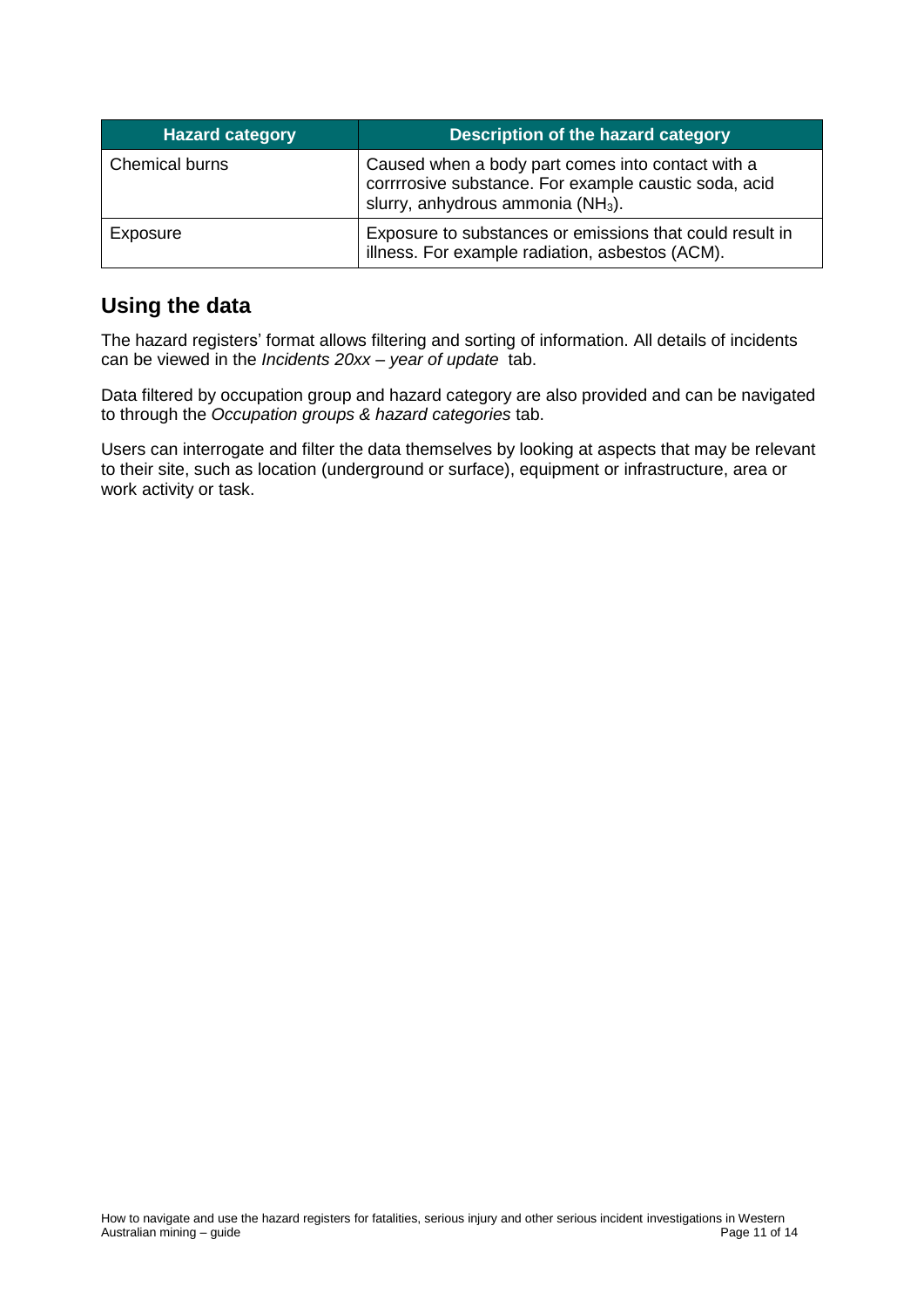| <b>Hazard category</b> | Description of the hazard category                                                                                                                          |
|------------------------|-------------------------------------------------------------------------------------------------------------------------------------------------------------|
| Chemical burns         | Caused when a body part comes into contact with a<br>corrrrosive substance. For example caustic soda, acid<br>slurry, anhydrous ammonia (NH <sub>3</sub> ). |
| Exposure               | Exposure to substances or emissions that could result in<br>illness. For example radiation, asbestos (ACM).                                                 |

# <span id="page-10-0"></span>**Using the data**

The hazard registers' format allows filtering and sorting of information. All details of incidents can be viewed in the *Incidents 20xx – year of update* tab.

Data filtered by occupation group and hazard category are also provided and can be navigated to through the *Occupation groups & hazard categories* tab.

Users can interrogate and filter the data themselves by looking at aspects that may be relevant to their site, such as location (underground or surface), equipment or infrastructure, area or work activity or task.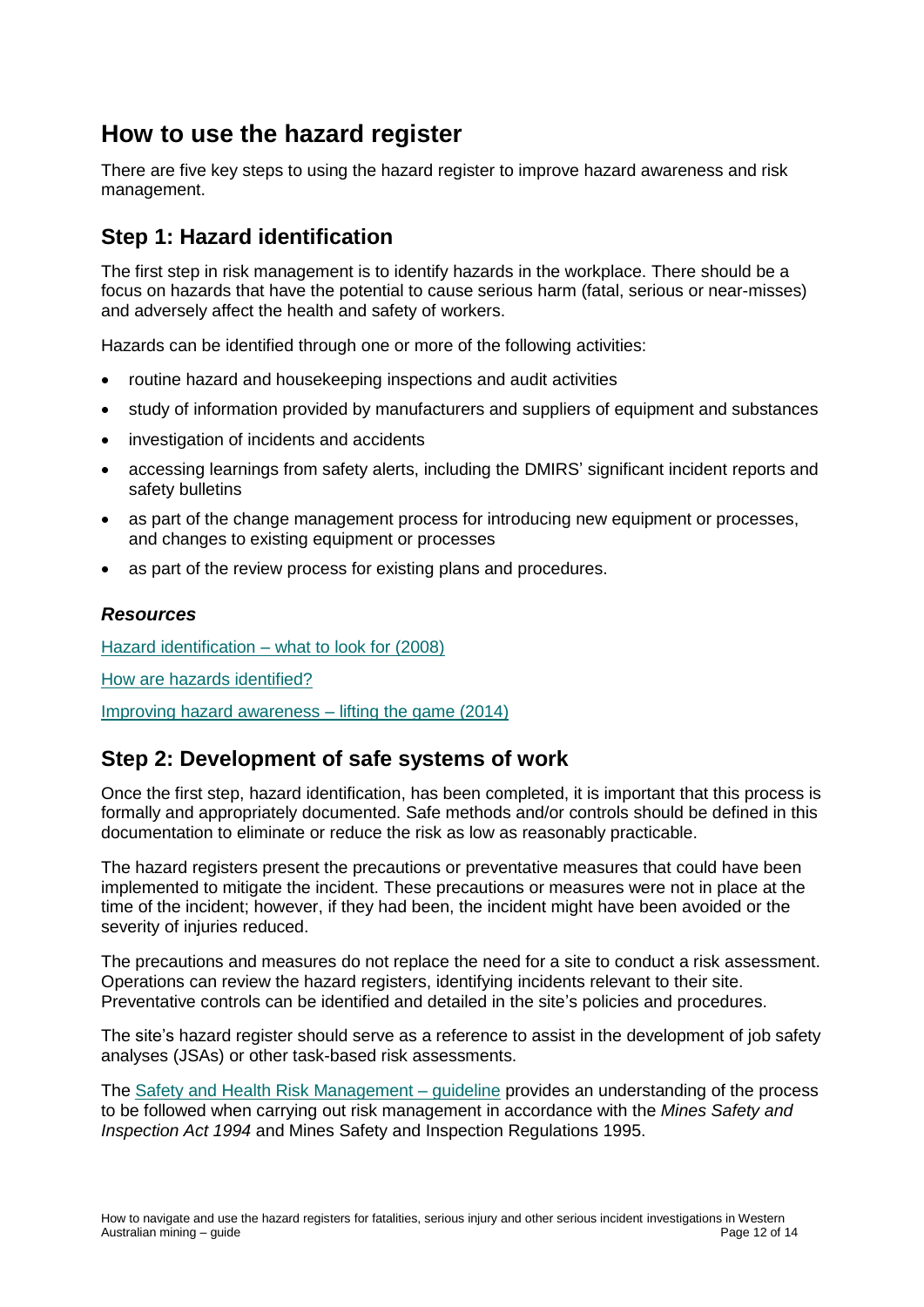# <span id="page-11-0"></span>**How to use the hazard register**

There are five key steps to using the hazard register to improve hazard awareness and risk management.

## <span id="page-11-1"></span>**Step 1: Hazard identification**

The first step in risk management is to identify hazards in the workplace. There should be a focus on hazards that have the potential to cause serious harm (fatal, serious or near-misses) and adversely affect the health and safety of workers.

Hazards can be identified through one or more of the following activities:

- routine hazard and housekeeping inspections and audit activities
- study of information provided by manufacturers and suppliers of equipment and substances
- investigation of incidents and accidents
- accessing learnings from safety alerts, including the DMIRS' significant incident reports and safety bulletins
- as part of the change management process for introducing new equipment or processes, and changes to existing equipment or processes
- as part of the review process for existing plans and procedures.

#### <span id="page-11-2"></span>*Resources*

Hazard identification – [what to look for \(2008\)](http://www.dmp.wa.gov.au/Documents/Safety/MSH_TB_HazardID.ppt)

[How are hazards identified?](http://www.dmp.wa.gov.au/Safety/How-are-hazards-identified-4730.aspx)

[Improving hazard awareness –](http://www.dmp.wa.gov.au/Documents/Safety/MSH_TB_ImprovingHazardAwareness.pptx) lifting the game (2014)

### <span id="page-11-3"></span>**Step 2: Development of safe systems of work**

Once the first step, hazard identification, has been completed, it is important that this process is formally and appropriately documented. Safe methods and/or controls should be defined in this documentation to eliminate or reduce the risk as low as reasonably practicable.

The hazard registers present the precautions or preventative measures that could have been implemented to mitigate the incident. These precautions or measures were not in place at the time of the incident; however, if they had been, the incident might have been avoided or the severity of injuries reduced.

The precautions and measures do not replace the need for a site to conduct a risk assessment. Operations can review the hazard registers, identifying incidents relevant to their site. Preventative controls can be identified and detailed in the site's policies and procedures.

The site's hazard register should serve as a reference to assist in the development of job safety analyses (JSAs) or other task-based risk assessments.

The [Safety and Health Risk Management –](http://www.dmp.wa.gov.au/Documents/Safety/MSH_G_SafetyAndHealthRiskManagement.pdf) guideline provides an understanding of the process to be followed when carrying out risk management in accordance with the *Mines Safety and Inspection Act 1994* and Mines Safety and Inspection Regulations 1995.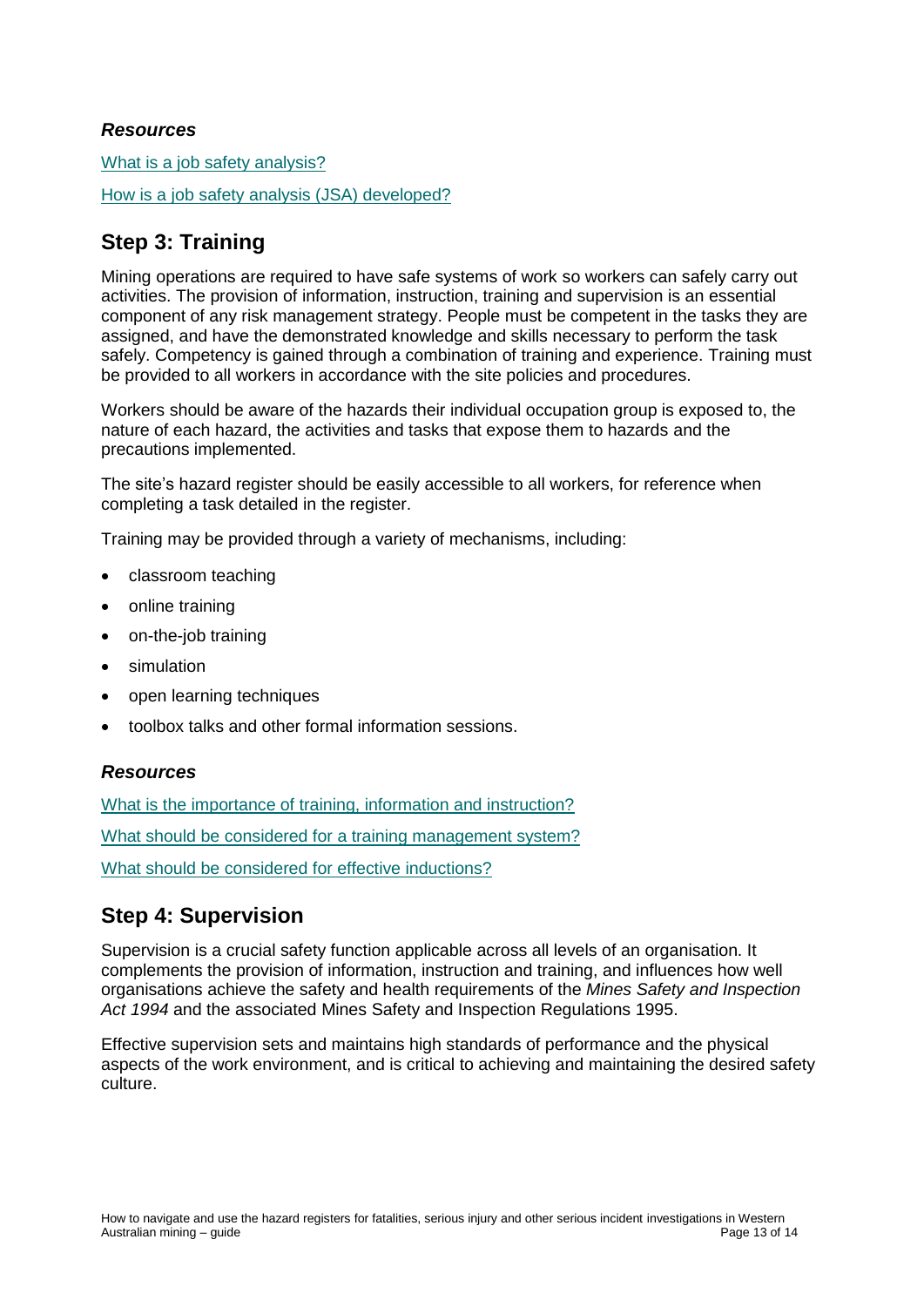#### <span id="page-12-0"></span>*Resources*

[What is a job safety analysis?](http://www.dmp.wa.gov.au/Safety/What-is-a-job-safety-analysis-4883.aspx)

[How is a job safety analysis \(JSA\) developed?](http://www.dmp.wa.gov.au/Safety/How-is-a-job-safety-analysis-JSA-4912.aspx)

## <span id="page-12-1"></span>**Step 3: Training**

Mining operations are required to have safe systems of work so workers can safely carry out activities. The provision of information, instruction, training and supervision is an essential component of any risk management strategy. People must be competent in the tasks they are assigned, and have the demonstrated knowledge and skills necessary to perform the task safely. Competency is gained through a combination of training and experience. Training must be provided to all workers in accordance with the site policies and procedures.

Workers should be aware of the hazards their individual occupation group is exposed to, the nature of each hazard, the activities and tasks that expose them to hazards and the precautions implemented.

The site's hazard register should be easily accessible to all workers, for reference when completing a task detailed in the register.

Training may be provided through a variety of mechanisms, including:

- classroom teaching
- online training
- on-the-job training
- simulation
- open learning techniques
- toolbox talks and other formal information sessions.

#### <span id="page-12-2"></span>*Resources*

[What is the importance of training, information and instruction?](http://www.dmp.wa.gov.au/Safety/What-is-the-importance-of-5824.aspx)

[What should be considered for a training management system?](http://www.dmp.wa.gov.au/Safety/What-should-be-considered-for-a-5888.aspx)

[What should be considered for effective inductions?](http://www.dmp.wa.gov.au/Safety/What-should-be-considered-for-5954.aspx)

## <span id="page-12-3"></span>**Step 4: Supervision**

Supervision is a crucial safety function applicable across all levels of an organisation. It complements the provision of information, instruction and training, and influences how well organisations achieve the safety and health requirements of the *Mines Safety and Inspection Act 1994* and the associated Mines Safety and Inspection Regulations 1995.

<span id="page-12-4"></span>Effective supervision sets and maintains high standards of performance and the physical aspects of the work environment, and is critical to achieving and maintaining the desired safety culture.